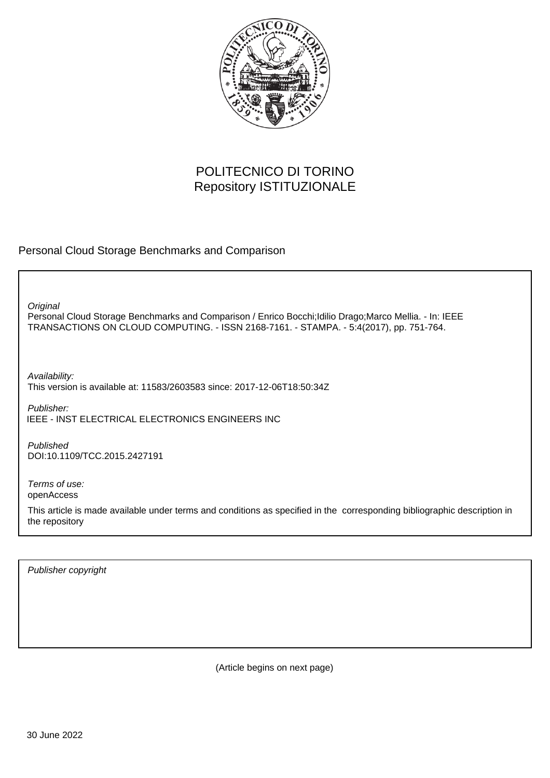

# POLITECNICO DI TORINO Repository ISTITUZIONALE

Personal Cloud Storage Benchmarks and Comparison

Personal Cloud Storage Benchmarks and Comparison / Enrico Bocchi;Idilio Drago;Marco Mellia. - In: IEEE TRANSACTIONS ON CLOUD COMPUTING. - ISSN 2168-7161. - STAMPA. - 5:4(2017), pp. 751-764. **Original** Publisher: Published DOI:10.1109/TCC.2015.2427191 Terms of use: openAccess Availability: This version is available at: 11583/2603583 since: 2017-12-06T18:50:34Z IEEE - INST ELECTRICAL ELECTRONICS ENGINEERS INC

This article is made available under terms and conditions as specified in the corresponding bibliographic description in the repository

Publisher copyright

(Article begins on next page)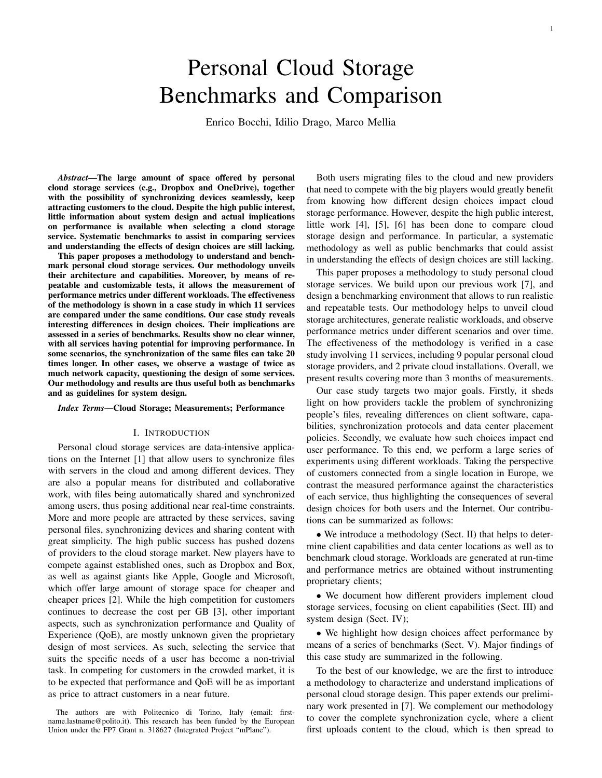# Personal Cloud Storage Benchmarks and Comparison

Enrico Bocchi, Idilio Drago, Marco Mellia

*Abstract***—The large amount of space offered by personal cloud storage services (e.g., Dropbox and OneDrive), together with the possibility of synchronizing devices seamlessly, keep attracting customers to the cloud. Despite the high public interest, little information about system design and actual implications on performance is available when selecting a cloud storage service. Systematic benchmarks to assist in comparing services and understanding the effects of design choices are still lacking.**

**This paper proposes a methodology to understand and benchmark personal cloud storage services. Our methodology unveils their architecture and capabilities. Moreover, by means of repeatable and customizable tests, it allows the measurement of performance metrics under different workloads. The effectiveness of the methodology is shown in a case study in which 11 services are compared under the same conditions. Our case study reveals interesting differences in design choices. Their implications are assessed in a series of benchmarks. Results show no clear winner, with all services having potential for improving performance. In some scenarios, the synchronization of the same files can take 20 times longer. In other cases, we observe a wastage of twice as much network capacity, questioning the design of some services. Our methodology and results are thus useful both as benchmarks and as guidelines for system design.**

#### *Index Terms***—Cloud Storage; Measurements; Performance**

#### I. INTRODUCTION

Personal cloud storage services are data-intensive applications on the Internet [1] that allow users to synchronize files with servers in the cloud and among different devices. They are also a popular means for distributed and collaborative work, with files being automatically shared and synchronized among users, thus posing additional near real-time constraints. More and more people are attracted by these services, saving personal files, synchronizing devices and sharing content with great simplicity. The high public success has pushed dozens of providers to the cloud storage market. New players have to compete against established ones, such as Dropbox and Box, as well as against giants like Apple, Google and Microsoft, which offer large amount of storage space for cheaper and cheaper prices [2]. While the high competition for customers continues to decrease the cost per GB [3], other important aspects, such as synchronization performance and Quality of Experience (QoE), are mostly unknown given the proprietary design of most services. As such, selecting the service that suits the specific needs of a user has become a non-trivial task. In competing for customers in the crowded market, it is to be expected that performance and QoE will be as important as price to attract customers in a near future.

Both users migrating files to the cloud and new providers that need to compete with the big players would greatly benefit from knowing how different design choices impact cloud storage performance. However, despite the high public interest, little work [4], [5], [6] has been done to compare cloud storage design and performance. In particular, a systematic methodology as well as public benchmarks that could assist in understanding the effects of design choices are still lacking.

This paper proposes a methodology to study personal cloud storage services. We build upon our previous work [7], and design a benchmarking environment that allows to run realistic and repeatable tests. Our methodology helps to unveil cloud storage architectures, generate realistic workloads, and observe performance metrics under different scenarios and over time. The effectiveness of the methodology is verified in a case study involving 11 services, including 9 popular personal cloud storage providers, and 2 private cloud installations. Overall, we present results covering more than 3 months of measurements.

Our case study targets two major goals. Firstly, it sheds light on how providers tackle the problem of synchronizing people's files, revealing differences on client software, capabilities, synchronization protocols and data center placement policies. Secondly, we evaluate how such choices impact end user performance. To this end, we perform a large series of experiments using different workloads. Taking the perspective of customers connected from a single location in Europe, we contrast the measured performance against the characteristics of each service, thus highlighting the consequences of several design choices for both users and the Internet. Our contributions can be summarized as follows:

• We introduce a methodology (Sect. II) that helps to determine client capabilities and data center locations as well as to benchmark cloud storage. Workloads are generated at run-time and performance metrics are obtained without instrumenting proprietary clients;

• We document how different providers implement cloud storage services, focusing on client capabilities (Sect. III) and system design (Sect. IV);

• We highlight how design choices affect performance by means of a series of benchmarks (Sect. V). Major findings of this case study are summarized in the following.

To the best of our knowledge, we are the first to introduce a methodology to characterize and understand implications of personal cloud storage design. This paper extends our preliminary work presented in [7]. We complement our methodology to cover the complete synchronization cycle, where a client first uploads content to the cloud, which is then spread to

The authors are with Politecnico di Torino, Italy (email: firstname.lastname@polito.it). This research has been funded by the European Union under the FP7 Grant n. 318627 (Integrated Project "mPlane").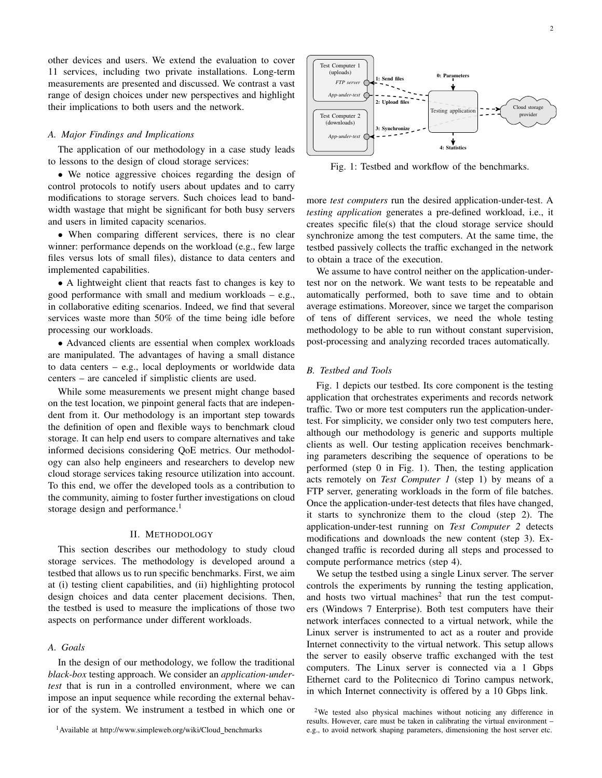other devices and users. We extend the evaluation to cover 11 services, including two private installations. Long-term measurements are presented and discussed. We contrast a vast range of design choices under new perspectives and highlight their implications to both users and the network.

# *A. Major Findings and Implications*

The application of our methodology in a case study leads to lessons to the design of cloud storage services:

• We notice aggressive choices regarding the design of control protocols to notify users about updates and to carry modifications to storage servers. Such choices lead to bandwidth wastage that might be significant for both busy servers and users in limited capacity scenarios.

• When comparing different services, there is no clear winner: performance depends on the workload (e.g., few large files versus lots of small files), distance to data centers and implemented capabilities.

• A lightweight client that reacts fast to changes is key to good performance with small and medium workloads – e.g., in collaborative editing scenarios. Indeed, we find that several services waste more than 50% of the time being idle before processing our workloads.

• Advanced clients are essential when complex workloads are manipulated. The advantages of having a small distance to data centers – e.g., local deployments or worldwide data centers – are canceled if simplistic clients are used.

While some measurements we present might change based on the test location, we pinpoint general facts that are independent from it. Our methodology is an important step towards the definition of open and flexible ways to benchmark cloud storage. It can help end users to compare alternatives and take informed decisions considering QoE metrics. Our methodology can also help engineers and researchers to develop new cloud storage services taking resource utilization into account. To this end, we offer the developed tools as a contribution to the community, aiming to foster further investigations on cloud storage design and performance.<sup>1</sup>

# II. METHODOLOGY

This section describes our methodology to study cloud storage services. The methodology is developed around a testbed that allows us to run specific benchmarks. First, we aim at (i) testing client capabilities, and (ii) highlighting protocol design choices and data center placement decisions. Then, the testbed is used to measure the implications of those two aspects on performance under different workloads.

# *A. Goals*

In the design of our methodology, we follow the traditional *black-box* testing approach. We consider an *application-undertest* that is run in a controlled environment, where we can impose an input sequence while recording the external behavior of the system. We instrument a testbed in which one or



Fig. 1: Testbed and workflow of the benchmarks.

more *test computers* run the desired application-under-test. A *testing application* generates a pre-defined workload, i.e., it creates specific file(s) that the cloud storage service should synchronize among the test computers. At the same time, the testbed passively collects the traffic exchanged in the network to obtain a trace of the execution.

We assume to have control neither on the application-undertest nor on the network. We want tests to be repeatable and automatically performed, both to save time and to obtain average estimations. Moreover, since we target the comparison of tens of different services, we need the whole testing methodology to be able to run without constant supervision, post-processing and analyzing recorded traces automatically.

#### *B. Testbed and Tools*

Fig. 1 depicts our testbed. Its core component is the testing application that orchestrates experiments and records network traffic. Two or more test computers run the application-undertest. For simplicity, we consider only two test computers here, although our methodology is generic and supports multiple clients as well. Our testing application receives benchmarking parameters describing the sequence of operations to be performed (step 0 in Fig. 1). Then, the testing application acts remotely on *Test Computer 1* (step 1) by means of a FTP server, generating workloads in the form of file batches. Once the application-under-test detects that files have changed, it starts to synchronize them to the cloud (step 2). The application-under-test running on *Test Computer 2* detects modifications and downloads the new content (step 3). Exchanged traffic is recorded during all steps and processed to compute performance metrics (step 4).

We setup the testbed using a single Linux server. The server controls the experiments by running the testing application, and hosts two virtual machines<sup>2</sup> that run the test computers (Windows 7 Enterprise). Both test computers have their network interfaces connected to a virtual network, while the Linux server is instrumented to act as a router and provide Internet connectivity to the virtual network. This setup allows the server to easily observe traffic exchanged with the test computers. The Linux server is connected via a 1 Gbps Ethernet card to the Politecnico di Torino campus network, in which Internet connectivity is offered by a 10 Gbps link.

<sup>2</sup>We tested also physical machines without noticing any difference in results. However, care must be taken in calibrating the virtual environment – e.g., to avoid network shaping parameters, dimensioning the host server etc.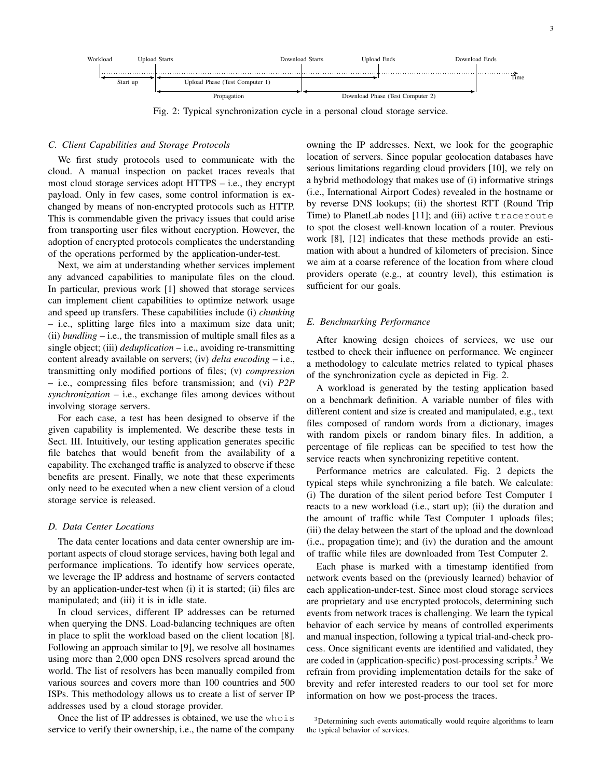

Fig. 2: Typical synchronization cycle in a personal cloud storage service.

# *C. Client Capabilities and Storage Protocols*

We first study protocols used to communicate with the cloud. A manual inspection on packet traces reveals that most cloud storage services adopt HTTPS – i.e., they encrypt payload. Only in few cases, some control information is exchanged by means of non-encrypted protocols such as HTTP. This is commendable given the privacy issues that could arise from transporting user files without encryption. However, the adoption of encrypted protocols complicates the understanding of the operations performed by the application-under-test.

Next, we aim at understanding whether services implement any advanced capabilities to manipulate files on the cloud. In particular, previous work [1] showed that storage services can implement client capabilities to optimize network usage and speed up transfers. These capabilities include (i) *chunking* – i.e., splitting large files into a maximum size data unit; (ii) *bundling* – i.e., the transmission of multiple small files as a single object; (iii) *deduplication* – i.e., avoiding re-transmitting content already available on servers; (iv) *delta encoding* – i.e., transmitting only modified portions of files; (v) *compression* – i.e., compressing files before transmission; and (vi) *P2P synchronization* – i.e., exchange files among devices without involving storage servers.

For each case, a test has been designed to observe if the given capability is implemented. We describe these tests in Sect. III. Intuitively, our testing application generates specific file batches that would benefit from the availability of a capability. The exchanged traffic is analyzed to observe if these benefits are present. Finally, we note that these experiments only need to be executed when a new client version of a cloud storage service is released.

# *D. Data Center Locations*

The data center locations and data center ownership are important aspects of cloud storage services, having both legal and performance implications. To identify how services operate, we leverage the IP address and hostname of servers contacted by an application-under-test when (i) it is started; (ii) files are manipulated; and (iii) it is in idle state.

In cloud services, different IP addresses can be returned when querying the DNS. Load-balancing techniques are often in place to split the workload based on the client location [8]. Following an approach similar to [9], we resolve all hostnames using more than 2,000 open DNS resolvers spread around the world. The list of resolvers has been manually compiled from various sources and covers more than 100 countries and 500 ISPs. This methodology allows us to create a list of server IP addresses used by a cloud storage provider.

Once the list of IP addresses is obtained, we use the whois service to verify their ownership, i.e., the name of the company

owning the IP addresses. Next, we look for the geographic location of servers. Since popular geolocation databases have serious limitations regarding cloud providers [10], we rely on a hybrid methodology that makes use of (i) informative strings (i.e., International Airport Codes) revealed in the hostname or by reverse DNS lookups; (ii) the shortest RTT (Round Trip Time) to PlanetLab nodes [11]; and (iii) active traceroute to spot the closest well-known location of a router. Previous work [8], [12] indicates that these methods provide an estimation with about a hundred of kilometers of precision. Since we aim at a coarse reference of the location from where cloud providers operate (e.g., at country level), this estimation is sufficient for our goals.

# *E. Benchmarking Performance*

After knowing design choices of services, we use our testbed to check their influence on performance. We engineer a methodology to calculate metrics related to typical phases of the synchronization cycle as depicted in Fig. 2.

A workload is generated by the testing application based on a benchmark definition. A variable number of files with different content and size is created and manipulated, e.g., text files composed of random words from a dictionary, images with random pixels or random binary files. In addition, a percentage of file replicas can be specified to test how the service reacts when synchronizing repetitive content.

Performance metrics are calculated. Fig. 2 depicts the typical steps while synchronizing a file batch. We calculate: (i) The duration of the silent period before Test Computer 1 reacts to a new workload (i.e., start up); (ii) the duration and the amount of traffic while Test Computer 1 uploads files; (iii) the delay between the start of the upload and the download (i.e., propagation time); and (iv) the duration and the amount of traffic while files are downloaded from Test Computer 2.

Each phase is marked with a timestamp identified from network events based on the (previously learned) behavior of each application-under-test. Since most cloud storage services are proprietary and use encrypted protocols, determining such events from network traces is challenging. We learn the typical behavior of each service by means of controlled experiments and manual inspection, following a typical trial-and-check process. Once significant events are identified and validated, they are coded in (application-specific) post-processing scripts.<sup>3</sup> We refrain from providing implementation details for the sake of brevity and refer interested readers to our tool set for more information on how we post-process the traces.

<sup>3</sup>Determining such events automatically would require algorithms to learn the typical behavior of services.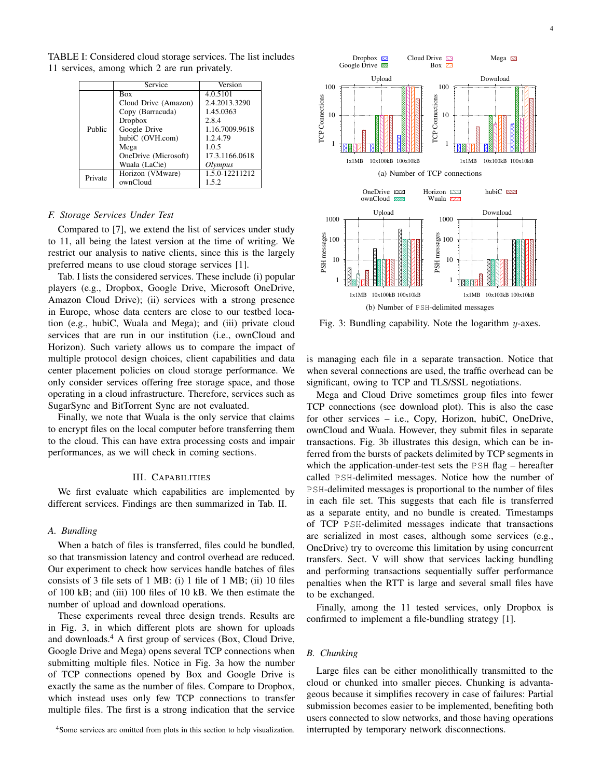|         | Service              | Version        |  |  |  |
|---------|----------------------|----------------|--|--|--|
| Public  | <b>Box</b>           | 4.0.5101       |  |  |  |
|         | Cloud Drive (Amazon) | 2.4.2013.3290  |  |  |  |
|         | Copy (Barracuda)     | 1.45.0363      |  |  |  |
|         | Dropbox              | 2.8.4          |  |  |  |
|         | Google Drive         | 1.16.7009.9618 |  |  |  |
|         | hubiC (OVH.com)      | 1.2.4.79       |  |  |  |
|         | Mega                 | 1.0.5          |  |  |  |
|         | OneDrive (Microsoft) | 17.3.1166.0618 |  |  |  |
|         | Wuala (LaCie)        | Olympus        |  |  |  |
| Private | Horizon (VMware)     | 1.5.0-12211212 |  |  |  |
|         | ownCloud             | 1.5.2          |  |  |  |
|         |                      |                |  |  |  |

TABLE I: Considered cloud storage services. The list includes 11 services, among which 2 are run privately.

# *F. Storage Services Under Test*

Compared to [7], we extend the list of services under study to 11, all being the latest version at the time of writing. We restrict our analysis to native clients, since this is the largely preferred means to use cloud storage services [1].

Tab. I lists the considered services. These include (i) popular players (e.g., Dropbox, Google Drive, Microsoft OneDrive, Amazon Cloud Drive); (ii) services with a strong presence in Europe, whose data centers are close to our testbed location (e.g., hubiC, Wuala and Mega); and (iii) private cloud services that are run in our institution (i.e., ownCloud and Horizon). Such variety allows us to compare the impact of multiple protocol design choices, client capabilities and data center placement policies on cloud storage performance. We only consider services offering free storage space, and those operating in a cloud infrastructure. Therefore, services such as SugarSync and BitTorrent Sync are not evaluated.

Finally, we note that Wuala is the only service that claims to encrypt files on the local computer before transferring them to the cloud. This can have extra processing costs and impair performances, as we will check in coming sections.

# III. CAPABILITIES

We first evaluate which capabilities are implemented by different services. Findings are then summarized in Tab. II.

## *A. Bundling*

When a batch of files is transferred, files could be bundled, so that transmission latency and control overhead are reduced. Our experiment to check how services handle batches of files consists of 3 file sets of 1 MB: (i) 1 file of 1 MB; (ii) 10 files of 100 kB; and (iii) 100 files of 10 kB. We then estimate the number of upload and download operations.

These experiments reveal three design trends. Results are in Fig. 3, in which different plots are shown for uploads and downloads.<sup>4</sup> A first group of services (Box, Cloud Drive, Google Drive and Mega) opens several TCP connections when submitting multiple files. Notice in Fig. 3a how the number of TCP connections opened by Box and Google Drive is exactly the same as the number of files. Compare to Dropbox, which instead uses only few TCP connections to transfer multiple files. The first is a strong indication that the service

<sup>4</sup>Some services are omitted from plots in this section to help visualization.



Fig. 3: Bundling capability. Note the logarithm  $y$ -axes.

is managing each file in a separate transaction. Notice that when several connections are used, the traffic overhead can be significant, owing to TCP and TLS/SSL negotiations.

Mega and Cloud Drive sometimes group files into fewer TCP connections (see download plot). This is also the case for other services – i.e., Copy, Horizon, hubiC, OneDrive, ownCloud and Wuala. However, they submit files in separate transactions. Fig. 3b illustrates this design, which can be inferred from the bursts of packets delimited by TCP segments in which the application-under-test sets the PSH flag – hereafter called PSH-delimited messages. Notice how the number of PSH-delimited messages is proportional to the number of files in each file set. This suggests that each file is transferred as a separate entity, and no bundle is created. Timestamps of TCP PSH-delimited messages indicate that transactions are serialized in most cases, although some services (e.g., OneDrive) try to overcome this limitation by using concurrent transfers. Sect. V will show that services lacking bundling and performing transactions sequentially suffer performance penalties when the RTT is large and several small files have to be exchanged.

Finally, among the 11 tested services, only Dropbox is confirmed to implement a file-bundling strategy [1].

# *B. Chunking*

Large files can be either monolithically transmitted to the cloud or chunked into smaller pieces. Chunking is advantageous because it simplifies recovery in case of failures: Partial submission becomes easier to be implemented, benefiting both users connected to slow networks, and those having operations interrupted by temporary network disconnections.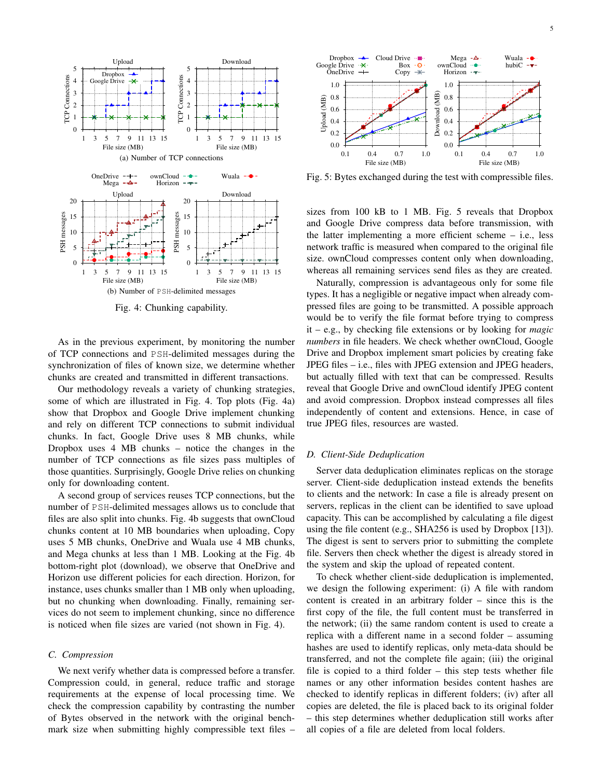

Fig. 4: Chunking capability.

As in the previous experiment, by monitoring the number of TCP connections and PSH-delimited messages during the synchronization of files of known size, we determine whether chunks are created and transmitted in different transactions.

Our methodology reveals a variety of chunking strategies, some of which are illustrated in Fig. 4. Top plots (Fig. 4a) show that Dropbox and Google Drive implement chunking and rely on different TCP connections to submit individual chunks. In fact, Google Drive uses 8 MB chunks, while Dropbox uses 4 MB chunks – notice the changes in the number of TCP connections as file sizes pass multiples of those quantities. Surprisingly, Google Drive relies on chunking only for downloading content.

A second group of services reuses TCP connections, but the number of PSH-delimited messages allows us to conclude that files are also split into chunks. Fig. 4b suggests that ownCloud chunks content at 10 MB boundaries when uploading, Copy uses 5 MB chunks, OneDrive and Wuala use 4 MB chunks, and Mega chunks at less than 1 MB. Looking at the Fig. 4b bottom-right plot (download), we observe that OneDrive and Horizon use different policies for each direction. Horizon, for instance, uses chunks smaller than 1 MB only when uploading, but no chunking when downloading. Finally, remaining services do not seem to implement chunking, since no difference is noticed when file sizes are varied (not shown in Fig. 4).

#### *C. Compression*

We next verify whether data is compressed before a transfer. Compression could, in general, reduce traffic and storage requirements at the expense of local processing time. We check the compression capability by contrasting the number of Bytes observed in the network with the original benchmark size when submitting highly compressible text files –



Fig. 5: Bytes exchanged during the test with compressible files.

sizes from 100 kB to 1 MB. Fig. 5 reveals that Dropbox and Google Drive compress data before transmission, with the latter implementing a more efficient scheme – i.e., less network traffic is measured when compared to the original file size. ownCloud compresses content only when downloading, whereas all remaining services send files as they are created.

Naturally, compression is advantageous only for some file types. It has a negligible or negative impact when already compressed files are going to be transmitted. A possible approach would be to verify the file format before trying to compress it – e.g., by checking file extensions or by looking for *magic numbers* in file headers. We check whether ownCloud, Google Drive and Dropbox implement smart policies by creating fake JPEG files – i.e., files with JPEG extension and JPEG headers, but actually filled with text that can be compressed. Results reveal that Google Drive and ownCloud identify JPEG content and avoid compression. Dropbox instead compresses all files independently of content and extensions. Hence, in case of true JPEG files, resources are wasted.

# *D. Client-Side Deduplication*

Server data deduplication eliminates replicas on the storage server. Client-side deduplication instead extends the benefits to clients and the network: In case a file is already present on servers, replicas in the client can be identified to save upload capacity. This can be accomplished by calculating a file digest using the file content (e.g., SHA256 is used by Dropbox [13]). The digest is sent to servers prior to submitting the complete file. Servers then check whether the digest is already stored in the system and skip the upload of repeated content.

To check whether client-side deduplication is implemented, we design the following experiment: (i) A file with random content is created in an arbitrary folder – since this is the first copy of the file, the full content must be transferred in the network; (ii) the same random content is used to create a replica with a different name in a second folder – assuming hashes are used to identify replicas, only meta-data should be transferred, and not the complete file again; (iii) the original file is copied to a third folder – this step tests whether file names or any other information besides content hashes are checked to identify replicas in different folders; (iv) after all copies are deleted, the file is placed back to its original folder – this step determines whether deduplication still works after all copies of a file are deleted from local folders.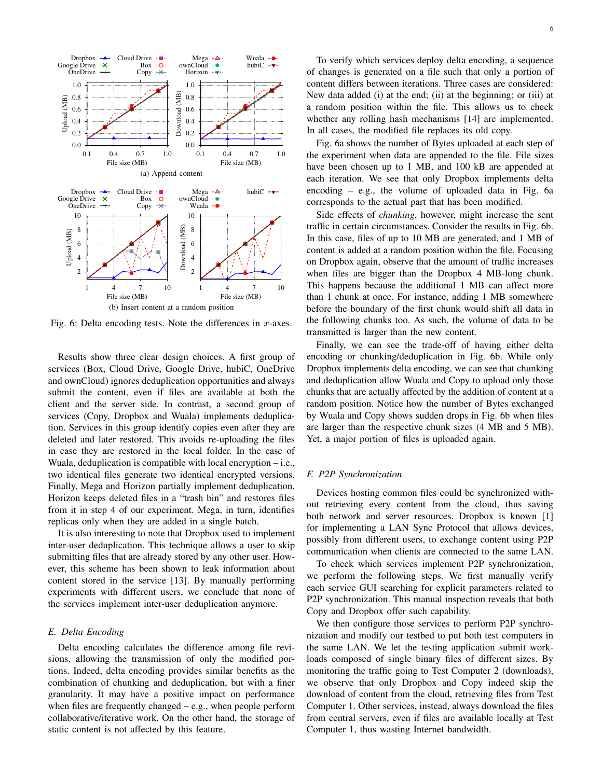

Fig. 6: Delta encoding tests. Note the differences in  $x$ -axes.

Results show three clear design choices. A first group of services (Box, Cloud Drive, Google Drive, hubiC, OneDrive and ownCloud) ignores deduplication opportunities and always submit the content, even if files are available at both the client and the server side. In contrast, a second group of services (Copy, Dropbox and Wuala) implements deduplication. Services in this group identify copies even after they are deleted and later restored. This avoids re-uploading the files in case they are restored in the local folder. In the case of Wuala, deduplication is compatible with local encryption – i.e., two identical files generate two identical encrypted versions. Finally, Mega and Horizon partially implement deduplication. Horizon keeps deleted files in a "trash bin" and restores files from it in step 4 of our experiment. Mega, in turn, identifies replicas only when they are added in a single batch.

It is also interesting to note that Dropbox used to implement inter-user deduplication. This technique allows a user to skip submitting files that are already stored by any other user. However, this scheme has been shown to leak information about content stored in the service [13]. By manually performing experiments with different users, we conclude that none of the services implement inter-user deduplication anymore.

# *E. Delta Encoding*

Delta encoding calculates the difference among file revisions, allowing the transmission of only the modified portions. Indeed, delta encoding provides similar benefits as the combination of chunking and deduplication, but with a finer granularity. It may have a positive impact on performance when files are frequently changed – e.g., when people perform collaborative/iterative work. On the other hand, the storage of static content is not affected by this feature.

To verify which services deploy delta encoding, a sequence of changes is generated on a file such that only a portion of content differs between iterations. Three cases are considered: New data added (i) at the end; (ii) at the beginning; or (iii) at a random position within the file. This allows us to check whether any rolling hash mechanisms [14] are implemented. In all cases, the modified file replaces its old copy.

Fig. 6a shows the number of Bytes uploaded at each step of the experiment when data are appended to the file. File sizes have been chosen up to 1 MB, and 100 kB are appended at each iteration. We see that only Dropbox implements delta encoding – e.g., the volume of uploaded data in Fig. 6a corresponds to the actual part that has been modified.

Side effects of *chunking*, however, might increase the sent traffic in certain circumstances. Consider the results in Fig. 6b. In this case, files of up to 10 MB are generated, and 1 MB of content is added at a random position within the file. Focusing on Dropbox again, observe that the amount of traffic increases when files are bigger than the Dropbox 4 MB-long chunk. This happens because the additional 1 MB can affect more than 1 chunk at once. For instance, adding 1 MB somewhere before the boundary of the first chunk would shift all data in the following chunks too. As such, the volume of data to be transmitted is larger than the new content.

Finally, we can see the trade-off of having either delta encoding or chunking/deduplication in Fig. 6b. While only Dropbox implements delta encoding, we can see that chunking and deduplication allow Wuala and Copy to upload only those chunks that are actually affected by the addition of content at a random position. Notice how the number of Bytes exchanged by Wuala and Copy shows sudden drops in Fig. 6b when files are larger than the respective chunk sizes (4 MB and 5 MB). Yet, a major portion of files is uploaded again.

# *F. P2P Synchronization*

Devices hosting common files could be synchronized without retrieving every content from the cloud, thus saving both network and server resources. Dropbox is known [1] for implementing a LAN Sync Protocol that allows devices, possibly from different users, to exchange content using P2P communication when clients are connected to the same LAN.

To check which services implement P2P synchronization, we perform the following steps. We first manually verify each service GUI searching for explicit parameters related to P2P synchronization. This manual inspection reveals that both Copy and Dropbox offer such capability.

We then configure those services to perform P2P synchronization and modify our testbed to put both test computers in the same LAN. We let the testing application submit workloads composed of single binary files of different sizes. By monitoring the traffic going to Test Computer 2 (downloads), we observe that only Dropbox and Copy indeed skip the download of content from the cloud, retrieving files from Test Computer 1. Other services, instead, always download the files from central servers, even if files are available locally at Test Computer 1, thus wasting Internet bandwidth.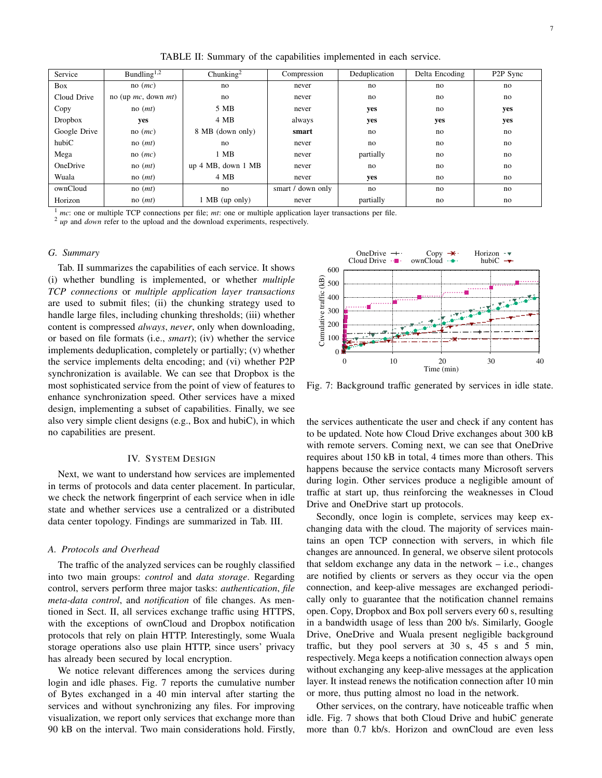TABLE II: Summary of the capabilities implemented in each service.

| Service      | Bundling <sup>1,2</sup>   | Chunking $2$             | Compression       | Deduplication |     | P <sub>2</sub> P Sync |  |
|--------------|---------------------------|--------------------------|-------------------|---------------|-----|-----------------------|--|
| Box          | $no$ ( <i>mc</i> )        | no                       | never             | no            | no  | no                    |  |
| Cloud Drive  | no (up $mc$ , down $mt$ ) | no                       | never             | no            | no  | no                    |  |
| Copy         | $no$ ( <i>mt</i> )        | 5 MB                     | never             | yes           | no  | yes                   |  |
| Dropbox      | yes                       | 4 MB                     | always            | yes           | yes | yes                   |  |
| Google Drive | $no$ ( <i>mc</i> )        | 8 MB (down only)         | smart             | no            | no  | no                    |  |
| hubiC        | no(mt)                    | no                       | never             | no            | no  | no                    |  |
| Mega         | $no$ ( <i>mc</i> )        | 1 MB                     | never             | partially     | no  | no                    |  |
| OneDrive     | no(mt)                    | $up$ 4 MB, down 1 MB     | never             | no            | no  | no                    |  |
| Wuala        | no(mt)                    | 4 MB                     | never             | yes           | no  | no                    |  |
| ownCloud     | $no$ ( $mt$ )             | no                       | smart / down only | no            | no  | no                    |  |
| Horizon      | no(mt)                    | $1 \text{ MB}$ (up only) | never             | partially     | no  | no                    |  |

<sup>1</sup> *mc*: one or multiple TCP connections per file; *mt*: one or multiple application layer transactions per file.

<sup>2</sup> *up* and *down* refer to the upload and the download experiments, respectively.

#### *G. Summary*

Tab. II summarizes the capabilities of each service. It shows (i) whether bundling is implemented, or whether *multiple TCP connections* or *multiple application layer transactions* are used to submit files; (ii) the chunking strategy used to handle large files, including chunking thresholds; (iii) whether content is compressed *always*, *never*, only when downloading, or based on file formats (i.e., *smart*); (iv) whether the service implements deduplication, completely or partially; (v) whether the service implements delta encoding; and (vi) whether P2P synchronization is available. We can see that Dropbox is the most sophisticated service from the point of view of features to enhance synchronization speed. Other services have a mixed design, implementing a subset of capabilities. Finally, we see also very simple client designs (e.g., Box and hubiC), in which no capabilities are present.

#### IV. SYSTEM DESIGN

Next, we want to understand how services are implemented in terms of protocols and data center placement. In particular, we check the network fingerprint of each service when in idle state and whether services use a centralized or a distributed data center topology. Findings are summarized in Tab. III.

# *A. Protocols and Overhead*

The traffic of the analyzed services can be roughly classified into two main groups: *control* and *data storage*. Regarding control, servers perform three major tasks: *authentication*, *file meta-data control*, and *notification* of file changes. As mentioned in Sect. II, all services exchange traffic using HTTPS, with the exceptions of ownCloud and Dropbox notification protocols that rely on plain HTTP. Interestingly, some Wuala storage operations also use plain HTTP, since users' privacy has already been secured by local encryption.

We notice relevant differences among the services during login and idle phases. Fig. 7 reports the cumulative number of Bytes exchanged in a 40 min interval after starting the services and without synchronizing any files. For improving visualization, we report only services that exchange more than 90 kB on the interval. Two main considerations hold. Firstly,



Fig. 7: Background traffic generated by services in idle state.

the services authenticate the user and check if any content has to be updated. Note how Cloud Drive exchanges about 300 kB with remote servers. Coming next, we can see that OneDrive requires about 150 kB in total, 4 times more than others. This happens because the service contacts many Microsoft servers during login. Other services produce a negligible amount of traffic at start up, thus reinforcing the weaknesses in Cloud Drive and OneDrive start up protocols.

Secondly, once login is complete, services may keep exchanging data with the cloud. The majority of services maintains an open TCP connection with servers, in which file changes are announced. In general, we observe silent protocols that seldom exchange any data in the network  $-$  i.e., changes are notified by clients or servers as they occur via the open connection, and keep-alive messages are exchanged periodically only to guarantee that the notification channel remains open. Copy, Dropbox and Box poll servers every 60 s, resulting in a bandwidth usage of less than 200 b/s. Similarly, Google Drive, OneDrive and Wuala present negligible background traffic, but they pool servers at 30 s, 45 s and 5 min, respectively. Mega keeps a notification connection always open without exchanging any keep-alive messages at the application layer. It instead renews the notification connection after 10 min or more, thus putting almost no load in the network.

Other services, on the contrary, have noticeable traffic when idle. Fig. 7 shows that both Cloud Drive and hubiC generate more than 0.7 kb/s. Horizon and ownCloud are even less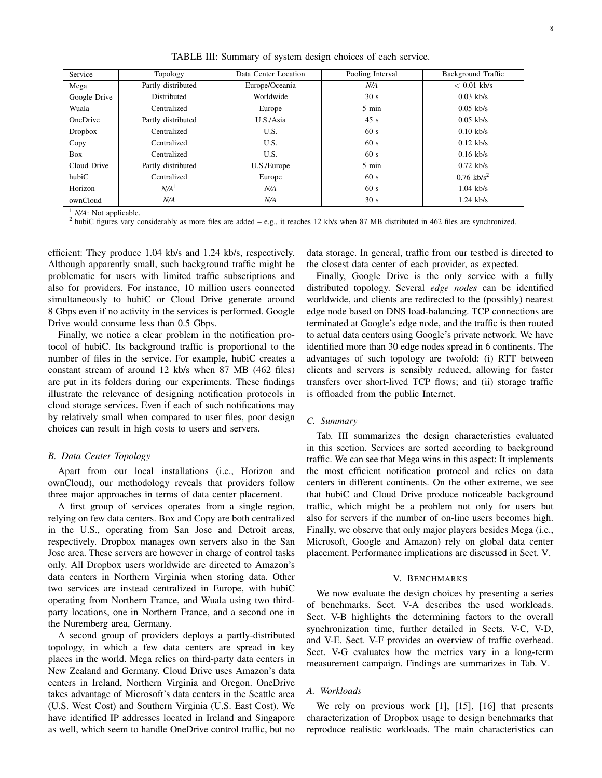Service Topology Data Center Location Pooling Interval Background Traffic Mega Partly distributed Europe/Oceania *N/A* < 0.01 kb/s Google Drive | Distributed | Worldwide | 30 s 0.03 kb/s Wuala Centralized Europe 5 min 0.05 kb/s OneDrive Partly distributed U.S./Asia 45 s 0.05 kb/s Dropbox | Centralized | U.S. | 60 s | 0.10 kb/s Copy Centralized U.S. 60 s 0.12 kb/s Box Centralized U.S. 60 s 0.16 kb/s Cloud Drive Partly distributed U.S./Europe 5 min 0.72 kb/s hubiC Centralized Europe 60 s 0.76 kb/s<sup>2</sup> Horizon *N/A*<sup>1</sup> *N/A* 60 s 1.04 kb/s

TABLE III: Summary of system design choices of each service.

<sup>1</sup> *N/A*: Not applicable.

<sup>2</sup> hubiC figures vary considerably as more files are added – e.g., it reaches 12 kb/s when 87 MB distributed in 462 files are synchronized.

ownCloud *N/A N/A* 30 s 1.24 kb/s

efficient: They produce 1.04 kb/s and 1.24 kb/s, respectively. Although apparently small, such background traffic might be problematic for users with limited traffic subscriptions and also for providers. For instance, 10 million users connected simultaneously to hubiC or Cloud Drive generate around 8 Gbps even if no activity in the services is performed. Google Drive would consume less than 0.5 Gbps.

Finally, we notice a clear problem in the notification protocol of hubiC. Its background traffic is proportional to the number of files in the service. For example, hubiC creates a constant stream of around 12 kb/s when 87 MB (462 files) are put in its folders during our experiments. These findings illustrate the relevance of designing notification protocols in cloud storage services. Even if each of such notifications may by relatively small when compared to user files, poor design choices can result in high costs to users and servers.

#### *B. Data Center Topology*

Apart from our local installations (i.e., Horizon and ownCloud), our methodology reveals that providers follow three major approaches in terms of data center placement.

A first group of services operates from a single region, relying on few data centers. Box and Copy are both centralized in the U.S., operating from San Jose and Detroit areas, respectively. Dropbox manages own servers also in the San Jose area. These servers are however in charge of control tasks only. All Dropbox users worldwide are directed to Amazon's data centers in Northern Virginia when storing data. Other two services are instead centralized in Europe, with hubiC operating from Northern France, and Wuala using two thirdparty locations, one in Northern France, and a second one in the Nuremberg area, Germany.

A second group of providers deploys a partly-distributed topology, in which a few data centers are spread in key places in the world. Mega relies on third-party data centers in New Zealand and Germany. Cloud Drive uses Amazon's data centers in Ireland, Northern Virginia and Oregon. OneDrive takes advantage of Microsoft's data centers in the Seattle area (U.S. West Cost) and Southern Virginia (U.S. East Cost). We have identified IP addresses located in Ireland and Singapore as well, which seem to handle OneDrive control traffic, but no data storage. In general, traffic from our testbed is directed to the closest data center of each provider, as expected.

Finally, Google Drive is the only service with a fully distributed topology. Several *edge nodes* can be identified worldwide, and clients are redirected to the (possibly) nearest edge node based on DNS load-balancing. TCP connections are terminated at Google's edge node, and the traffic is then routed to actual data centers using Google's private network. We have identified more than 30 edge nodes spread in 6 continents. The advantages of such topology are twofold: (i) RTT between clients and servers is sensibly reduced, allowing for faster transfers over short-lived TCP flows; and (ii) storage traffic is offloaded from the public Internet.

### *C. Summary*

Tab. III summarizes the design characteristics evaluated in this section. Services are sorted according to background traffic. We can see that Mega wins in this aspect: It implements the most efficient notification protocol and relies on data centers in different continents. On the other extreme, we see that hubiC and Cloud Drive produce noticeable background traffic, which might be a problem not only for users but also for servers if the number of on-line users becomes high. Finally, we observe that only major players besides Mega (i.e., Microsoft, Google and Amazon) rely on global data center placement. Performance implications are discussed in Sect. V.

#### V. BENCHMARKS

We now evaluate the design choices by presenting a series of benchmarks. Sect. V-A describes the used workloads. Sect. V-B highlights the determining factors to the overall synchronization time, further detailed in Sects. V-C, V-D, and V-E. Sect. V-F provides an overview of traffic overhead. Sect. V-G evaluates how the metrics vary in a long-term measurement campaign. Findings are summarizes in Tab. V.

# *A. Workloads*

We rely on previous work [1], [15], [16] that presents characterization of Dropbox usage to design benchmarks that reproduce realistic workloads. The main characteristics can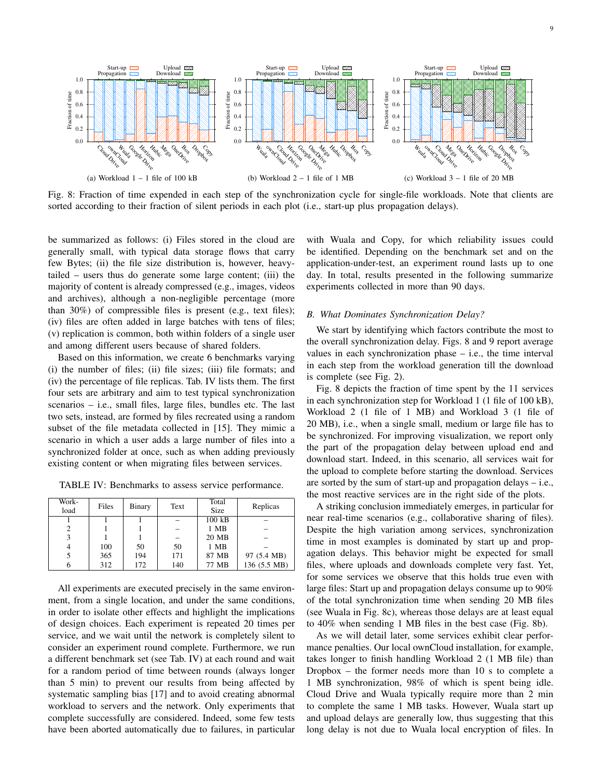

Fig. 8: Fraction of time expended in each step of the synchronization cycle for single-file workloads. Note that clients are sorted according to their fraction of silent periods in each plot (i.e., start-up plus propagation delays).

be summarized as follows: (i) Files stored in the cloud are generally small, with typical data storage flows that carry few Bytes; (ii) the file size distribution is, however, heavytailed – users thus do generate some large content; (iii) the majority of content is already compressed (e.g., images, videos and archives), although a non-negligible percentage (more than 30%) of compressible files is present (e.g., text files); (iv) files are often added in large batches with tens of files; (v) replication is common, both within folders of a single user and among different users because of shared folders.

Based on this information, we create 6 benchmarks varying (i) the number of files; (ii) file sizes; (iii) file formats; and (iv) the percentage of file replicas. Tab. IV lists them. The first four sets are arbitrary and aim to test typical synchronization scenarios – i.e., small files, large files, bundles etc. The last two sets, instead, are formed by files recreated using a random subset of the file metadata collected in [15]. They mimic a scenario in which a user adds a large number of files into a synchronized folder at once, such as when adding previously existing content or when migrating files between services.

TABLE IV: Benchmarks to assess service performance.

| Work-<br>load | Files | Binary | Text | Total<br>Size                | Replicas     |
|---------------|-------|--------|------|------------------------------|--------------|
|               |       |        |      | $100 \overline{\mathrm{kB}}$ |              |
| 2             |       |        |      | 1 MB                         |              |
| 3             |       |        |      | 20 MB                        |              |
| 4             | 100   | 50     | 50   | 1 MB                         |              |
|               | 365   | 194    | 171  | 87 MB                        | 97 (5.4 MB)  |
| h             | 312   | 172    | 140  | 77 MB                        | 136 (5.5 MB) |

All experiments are executed precisely in the same environment, from a single location, and under the same conditions, in order to isolate other effects and highlight the implications of design choices. Each experiment is repeated 20 times per service, and we wait until the network is completely silent to consider an experiment round complete. Furthermore, we run a different benchmark set (see Tab. IV) at each round and wait for a random period of time between rounds (always longer than 5 min) to prevent our results from being affected by systematic sampling bias [17] and to avoid creating abnormal workload to servers and the network. Only experiments that complete successfully are considered. Indeed, some few tests have been aborted automatically due to failures, in particular with Wuala and Copy, for which reliability issues could be identified. Depending on the benchmark set and on the application-under-test, an experiment round lasts up to one day. In total, results presented in the following summarize experiments collected in more than 90 days.

#### *B. What Dominates Synchronization Delay?*

We start by identifying which factors contribute the most to the overall synchronization delay. Figs. 8 and 9 report average values in each synchronization phase – i.e., the time interval in each step from the workload generation till the download is complete (see Fig. 2).

Fig. 8 depicts the fraction of time spent by the 11 services in each synchronization step for Workload 1 (1 file of 100 kB), Workload 2 (1 file of 1 MB) and Workload 3 (1 file of 20 MB), i.e., when a single small, medium or large file has to be synchronized. For improving visualization, we report only the part of the propagation delay between upload end and download start. Indeed, in this scenario, all services wait for the upload to complete before starting the download. Services are sorted by the sum of start-up and propagation delays – i.e., the most reactive services are in the right side of the plots.

A striking conclusion immediately emerges, in particular for near real-time scenarios (e.g., collaborative sharing of files). Despite the high variation among services, synchronization time in most examples is dominated by start up and propagation delays. This behavior might be expected for small files, where uploads and downloads complete very fast. Yet, for some services we observe that this holds true even with large files: Start up and propagation delays consume up to 90% of the total synchronization time when sending 20 MB files (see Wuala in Fig. 8c), whereas those delays are at least equal to 40% when sending 1 MB files in the best case (Fig. 8b).

As we will detail later, some services exhibit clear performance penalties. Our local ownCloud installation, for example, takes longer to finish handling Workload 2 (1 MB file) than Dropbox – the former needs more than 10 s to complete a 1 MB synchronization, 98% of which is spent being idle. Cloud Drive and Wuala typically require more than 2 min to complete the same 1 MB tasks. However, Wuala start up and upload delays are generally low, thus suggesting that this long delay is not due to Wuala local encryption of files. In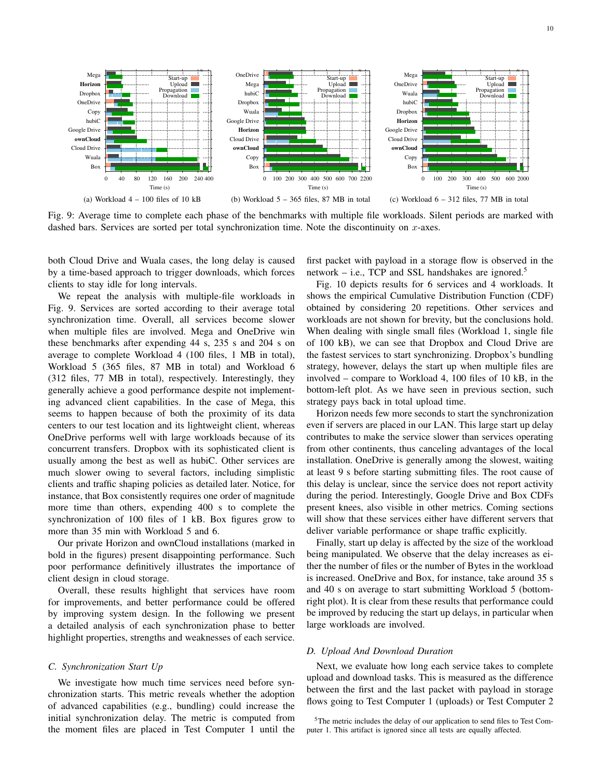

Fig. 9: Average time to complete each phase of the benchmarks with multiple file workloads. Silent periods are marked with dashed bars. Services are sorted per total synchronization time. Note the discontinuity on  $x$ -axes.

both Cloud Drive and Wuala cases, the long delay is caused by a time-based approach to trigger downloads, which forces clients to stay idle for long intervals.

We repeat the analysis with multiple-file workloads in Fig. 9. Services are sorted according to their average total synchronization time. Overall, all services become slower when multiple files are involved. Mega and OneDrive win these benchmarks after expending 44 s, 235 s and 204 s on average to complete Workload 4 (100 files, 1 MB in total), Workload 5 (365 files, 87 MB in total) and Workload 6 (312 files, 77 MB in total), respectively. Interestingly, they generally achieve a good performance despite not implementing advanced client capabilities. In the case of Mega, this seems to happen because of both the proximity of its data centers to our test location and its lightweight client, whereas OneDrive performs well with large workloads because of its concurrent transfers. Dropbox with its sophisticated client is usually among the best as well as hubiC. Other services are much slower owing to several factors, including simplistic clients and traffic shaping policies as detailed later. Notice, for instance, that Box consistently requires one order of magnitude more time than others, expending 400 s to complete the synchronization of 100 files of 1 kB. Box figures grow to more than 35 min with Workload 5 and 6.

Our private Horizon and ownCloud installations (marked in bold in the figures) present disappointing performance. Such poor performance definitively illustrates the importance of client design in cloud storage.

Overall, these results highlight that services have room for improvements, and better performance could be offered by improving system design. In the following we present a detailed analysis of each synchronization phase to better highlight properties, strengths and weaknesses of each service.

#### *C. Synchronization Start Up*

We investigate how much time services need before synchronization starts. This metric reveals whether the adoption of advanced capabilities (e.g., bundling) could increase the initial synchronization delay. The metric is computed from the moment files are placed in Test Computer 1 until the first packet with payload in a storage flow is observed in the network – i.e., TCP and SSL handshakes are ignored.<sup>5</sup>

Fig. 10 depicts results for 6 services and 4 workloads. It shows the empirical Cumulative Distribution Function (CDF) obtained by considering 20 repetitions. Other services and workloads are not shown for brevity, but the conclusions hold. When dealing with single small files (Workload 1, single file of 100 kB), we can see that Dropbox and Cloud Drive are the fastest services to start synchronizing. Dropbox's bundling strategy, however, delays the start up when multiple files are involved – compare to Workload 4, 100 files of 10 kB, in the bottom-left plot. As we have seen in previous section, such strategy pays back in total upload time.

Horizon needs few more seconds to start the synchronization even if servers are placed in our LAN. This large start up delay contributes to make the service slower than services operating from other continents, thus canceling advantages of the local installation. OneDrive is generally among the slowest, waiting at least 9 s before starting submitting files. The root cause of this delay is unclear, since the service does not report activity during the period. Interestingly, Google Drive and Box CDFs present knees, also visible in other metrics. Coming sections will show that these services either have different servers that deliver variable performance or shape traffic explicitly.

Finally, start up delay is affected by the size of the workload being manipulated. We observe that the delay increases as either the number of files or the number of Bytes in the workload is increased. OneDrive and Box, for instance, take around 35 s and 40 s on average to start submitting Workload 5 (bottomright plot). It is clear from these results that performance could be improved by reducing the start up delays, in particular when large workloads are involved.

# *D. Upload And Download Duration*

Next, we evaluate how long each service takes to complete upload and download tasks. This is measured as the difference between the first and the last packet with payload in storage flows going to Test Computer 1 (uploads) or Test Computer 2

<sup>5</sup>The metric includes the delay of our application to send files to Test Computer 1. This artifact is ignored since all tests are equally affected.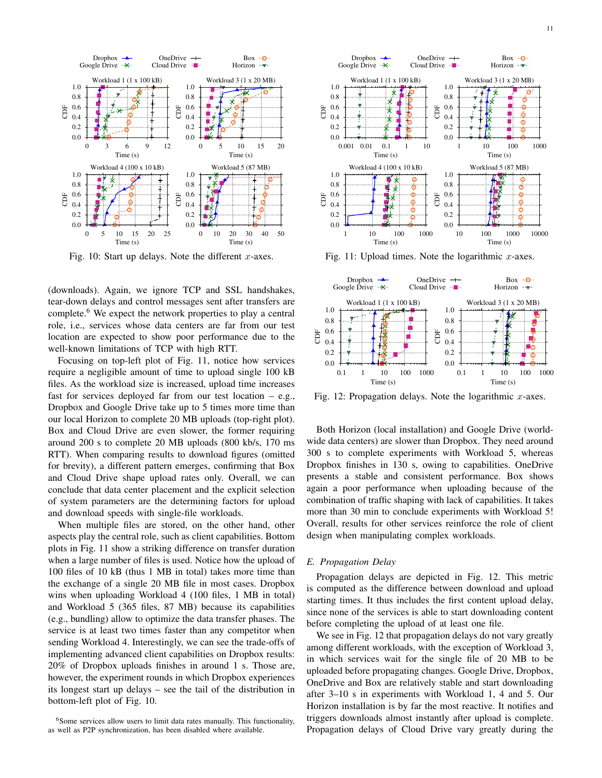

Fig. 10: Start up delays. Note the different  $x$ -axes.

(downloads). Again, we ignore TCP and SSL handshakes, tear-down delays and control messages sent after transfers are complete.<sup>6</sup> We expect the network properties to play a central role, i.e., services whose data centers are far from our test location are expected to show poor performance due to the well-known limitations of TCP with high RTT.

Focusing on top-left plot of Fig. 11, notice how services require a negligible amount of time to upload single 100 kB files. As the workload size is increased, upload time increases fast for services deployed far from our test location – e.g., Dropbox and Google Drive take up to 5 times more time than our local Horizon to complete 20 MB uploads (top-right plot). Box and Cloud Drive are even slower, the former requiring around 200 s to complete 20 MB uploads (800 kb/s, 170 ms RTT). When comparing results to download figures (omitted for brevity), a different pattern emerges, confirming that Box and Cloud Drive shape upload rates only. Overall, we can conclude that data center placement and the explicit selection of system parameters are the determining factors for upload and download speeds with single-file workloads.

When multiple files are stored, on the other hand, other aspects play the central role, such as client capabilities. Bottom plots in Fig. 11 show a striking difference on transfer duration when a large number of files is used. Notice how the upload of 100 files of 10 kB (thus 1 MB in total) takes more time than the exchange of a single 20 MB file in most cases. Dropbox wins when uploading Workload 4 (100 files, 1 MB in total) and Workload 5 (365 files, 87 MB) because its capabilities (e.g., bundling) allow to optimize the data transfer phases. The service is at least two times faster than any competitor when sending Workload 4. Interestingly, we can see the trade-offs of implementing advanced client capabilities on Dropbox results: 20% of Dropbox uploads finishes in around 1 s. Those are, however, the experiment rounds in which Dropbox experiences its longest start up delays – see the tail of the distribution in bottom-left plot of Fig. 10.



Fig. 11: Upload times. Note the logarithmic  $x$ -axes.



Fig. 12: Propagation delays. Note the logarithmic  $x$ -axes.

Both Horizon (local installation) and Google Drive (worldwide data centers) are slower than Dropbox. They need around 300 s to complete experiments with Workload 5, whereas Dropbox finishes in 130 s, owing to capabilities. OneDrive presents a stable and consistent performance. Box shows again a poor performance when uploading because of the combination of traffic shaping with lack of capabilities. It takes more than 30 min to conclude experiments with Workload 5! Overall, results for other services reinforce the role of client design when manipulating complex workloads.

#### *E. Propagation Delay*

Propagation delays are depicted in Fig. 12. This metric is computed as the difference between download and upload starting times. It thus includes the first content upload delay, since none of the services is able to start downloading content before completing the upload of at least one file.

We see in Fig. 12 that propagation delays do not vary greatly among different workloads, with the exception of Workload 3, in which services wait for the single file of 20 MB to be uploaded before propagating changes. Google Drive, Dropbox, OneDrive and Box are relatively stable and start downloading after 3–10 s in experiments with Workload 1, 4 and 5. Our Horizon installation is by far the most reactive. It notifies and triggers downloads almost instantly after upload is complete. Propagation delays of Cloud Drive vary greatly during the

<sup>&</sup>lt;sup>6</sup>Some services allow users to limit data rates manually. This functionality, as well as P2P synchronization, has been disabled where available.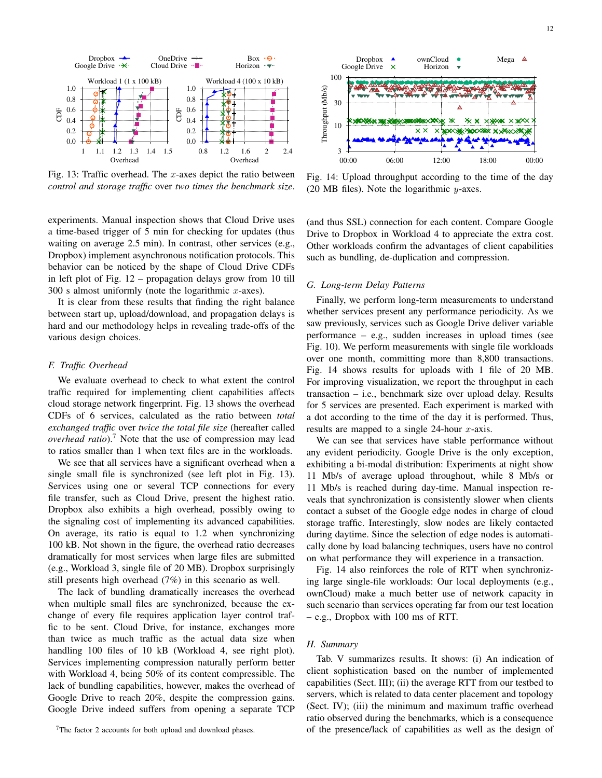

Fig. 13: Traffic overhead. The  $x$ -axes depict the ratio between *control and storage traffic* over *two times the benchmark size*.

experiments. Manual inspection shows that Cloud Drive uses a time-based trigger of 5 min for checking for updates (thus waiting on average 2.5 min). In contrast, other services (e.g., Dropbox) implement asynchronous notification protocols. This behavior can be noticed by the shape of Cloud Drive CDFs in left plot of Fig. 12 – propagation delays grow from 10 till 300 s almost uniformly (note the logarithmic  $x$ -axes).

It is clear from these results that finding the right balance between start up, upload/download, and propagation delays is hard and our methodology helps in revealing trade-offs of the various design choices.

#### *F. Traffic Overhead*

We evaluate overhead to check to what extent the control traffic required for implementing client capabilities affects cloud storage network fingerprint. Fig. 13 shows the overhead CDFs of 6 services, calculated as the ratio between *total exchanged traffic* over *twice the total file size* (hereafter called *overhead ratio*).<sup>7</sup> Note that the use of compression may lead to ratios smaller than 1 when text files are in the workloads.

We see that all services have a significant overhead when a single small file is synchronized (see left plot in Fig. 13). Services using one or several TCP connections for every file transfer, such as Cloud Drive, present the highest ratio. Dropbox also exhibits a high overhead, possibly owing to the signaling cost of implementing its advanced capabilities. On average, its ratio is equal to 1.2 when synchronizing 100 kB. Not shown in the figure, the overhead ratio decreases dramatically for most services when large files are submitted (e.g., Workload 3, single file of 20 MB). Dropbox surprisingly still presents high overhead (7%) in this scenario as well.

The lack of bundling dramatically increases the overhead when multiple small files are synchronized, because the exchange of every file requires application layer control traffic to be sent. Cloud Drive, for instance, exchanges more than twice as much traffic as the actual data size when handling 100 files of 10 kB (Workload 4, see right plot). Services implementing compression naturally perform better with Workload 4, being 50% of its content compressible. The lack of bundling capabilities, however, makes the overhead of Google Drive to reach 20%, despite the compression gains. Google Drive indeed suffers from opening a separate TCP



Fig. 14: Upload throughput according to the time of the day (20 MB files). Note the logarithmic  $y$ -axes.

(and thus SSL) connection for each content. Compare Google Drive to Dropbox in Workload 4 to appreciate the extra cost. Other workloads confirm the advantages of client capabilities such as bundling, de-duplication and compression.

# *G. Long-term Delay Patterns*

Finally, we perform long-term measurements to understand whether services present any performance periodicity. As we saw previously, services such as Google Drive deliver variable performance – e.g., sudden increases in upload times (see Fig. 10). We perform measurements with single file workloads over one month, committing more than 8,800 transactions. Fig. 14 shows results for uploads with 1 file of 20 MB. For improving visualization, we report the throughput in each transaction – i.e., benchmark size over upload delay. Results for 5 services are presented. Each experiment is marked with a dot according to the time of the day it is performed. Thus, results are mapped to a single 24-hour  $x$ -axis.

We can see that services have stable performance without any evident periodicity. Google Drive is the only exception, exhibiting a bi-modal distribution: Experiments at night show 11 Mb/s of average upload throughout, while 8 Mb/s or 11 Mb/s is reached during day-time. Manual inspection reveals that synchronization is consistently slower when clients contact a subset of the Google edge nodes in charge of cloud storage traffic. Interestingly, slow nodes are likely contacted during daytime. Since the selection of edge nodes is automatically done by load balancing techniques, users have no control on what performance they will experience in a transaction.

Fig. 14 also reinforces the role of RTT when synchronizing large single-file workloads: Our local deployments (e.g., ownCloud) make a much better use of network capacity in such scenario than services operating far from our test location – e.g., Dropbox with 100 ms of RTT.

#### *H. Summary*

Tab. V summarizes results. It shows: (i) An indication of client sophistication based on the number of implemented capabilities (Sect. III); (ii) the average RTT from our testbed to servers, which is related to data center placement and topology (Sect. IV); (iii) the minimum and maximum traffic overhead ratio observed during the benchmarks, which is a consequence of the presence/lack of capabilities as well as the design of

<sup>7</sup>The factor 2 accounts for both upload and download phases.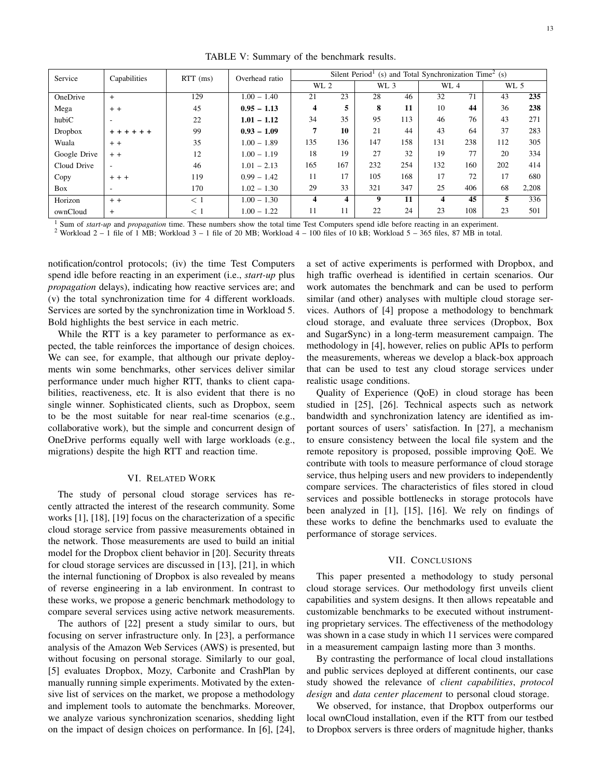TABLE V: Summary of the benchmark results.

| Service      | Capabilities             | $RTT$ (ms) | Overhead ratio | Silent Period <sup>1</sup> (s) and Total Synchronization Time <sup>2</sup> (s) |     |      |     |      |     |      |       |
|--------------|--------------------------|------------|----------------|--------------------------------------------------------------------------------|-----|------|-----|------|-----|------|-------|
|              |                          |            |                | WL 2                                                                           |     | WL 3 |     | WL 4 |     | WL 5 |       |
| OneDrive     | $+$                      | 129        | $1.00 - 1.40$  | 21                                                                             | 23  | 28   | 46  | 32   | 71  | 43   | 235   |
| Mega         | $+ +$                    | 45         | $0.95 - 1.13$  | 4                                                                              | 5   | 8    | 11  | 10   | 44  | 36   | 238   |
| hubiC        | $\overline{\phantom{a}}$ | 22         | $1.01 - 1.12$  | 34                                                                             | 35  | 95   | 113 | 46   | 76  | 43   | 271   |
| Dropbox      | + + + + + +              | 99         | $0.93 - 1.09$  | 7                                                                              | 10  | 21   | 44  | 43   | 64  | 37   | 283   |
| Wuala        | $+ +$                    | 35         | $1.00 - 1.89$  | 135                                                                            | 136 | 147  | 158 | 131  | 238 | 112  | 305   |
| Google Drive | $+ +$                    | 12         | $1.00 - 1.19$  | 18                                                                             | 19  | 27   | 32  | 19   | 77  | 20   | 334   |
| Cloud Drive  | $\overline{\phantom{a}}$ | 46         | $1.01 - 2.13$  | 165                                                                            | 167 | 232  | 254 | 132  | 160 | 202  | 414   |
| Copy         | $+ + +$                  | 119        | $0.99 - 1.42$  | 11                                                                             | 17  | 105  | 168 | 17   | 72  | 17   | 680   |
| Box          | $\overline{\phantom{a}}$ | 170        | $1.02 - 1.30$  | 29                                                                             | 33  | 321  | 347 | 25   | 406 | 68   | 2,208 |
| Horizon      | $+ +$                    | $<$ 1      | $1.00 - 1.30$  | 4                                                                              | 4   | 9    | 11  | 4    | 45  | 5    | 336   |
| ownCloud     | $+$                      | < 1        | $1.00 - 1.22$  | 11                                                                             | 11  | 22   | 24  | 23   | 108 | 23   | 501   |

<sup>1</sup> Sum of *start-up* and *propagation* time. These numbers show the total time Test Computers spend idle before reacting in an experiment.

<sup>2</sup> Workload  $2 - 1$  file of 1 MB; Workload  $3 - 1$  file of 20 MB; Workload  $4 - 100$  files of 10 kB; Workload  $5 - 365$  files, 87 MB in total.

notification/control protocols; (iv) the time Test Computers spend idle before reacting in an experiment (i.e., *start-up* plus *propagation* delays), indicating how reactive services are; and (v) the total synchronization time for 4 different workloads. Services are sorted by the synchronization time in Workload 5. Bold highlights the best service in each metric.

While the RTT is a key parameter to performance as expected, the table reinforces the importance of design choices. We can see, for example, that although our private deployments win some benchmarks, other services deliver similar performance under much higher RTT, thanks to client capabilities, reactiveness, etc. It is also evident that there is no single winner. Sophisticated clients, such as Dropbox, seem to be the most suitable for near real-time scenarios (e.g., collaborative work), but the simple and concurrent design of OneDrive performs equally well with large workloads (e.g., migrations) despite the high RTT and reaction time.

#### VI. RELATED WORK

The study of personal cloud storage services has recently attracted the interest of the research community. Some works [1], [18], [19] focus on the characterization of a specific cloud storage service from passive measurements obtained in the network. Those measurements are used to build an initial model for the Dropbox client behavior in [20]. Security threats for cloud storage services are discussed in [13], [21], in which the internal functioning of Dropbox is also revealed by means of reverse engineering in a lab environment. In contrast to these works, we propose a generic benchmark methodology to compare several services using active network measurements.

The authors of [22] present a study similar to ours, but focusing on server infrastructure only. In [23], a performance analysis of the Amazon Web Services (AWS) is presented, but without focusing on personal storage. Similarly to our goal, [5] evaluates Dropbox, Mozy, Carbonite and CrashPlan by manually running simple experiments. Motivated by the extensive list of services on the market, we propose a methodology and implement tools to automate the benchmarks. Moreover, we analyze various synchronization scenarios, shedding light on the impact of design choices on performance. In [6], [24], a set of active experiments is performed with Dropbox, and high traffic overhead is identified in certain scenarios. Our work automates the benchmark and can be used to perform similar (and other) analyses with multiple cloud storage services. Authors of [4] propose a methodology to benchmark cloud storage, and evaluate three services (Dropbox, Box and SugarSync) in a long-term measurement campaign. The methodology in [4], however, relies on public APIs to perform the measurements, whereas we develop a black-box approach that can be used to test any cloud storage services under realistic usage conditions.

Quality of Experience (QoE) in cloud storage has been studied in [25], [26]. Technical aspects such as network bandwidth and synchronization latency are identified as important sources of users' satisfaction. In [27], a mechanism to ensure consistency between the local file system and the remote repository is proposed, possible improving QoE. We contribute with tools to measure performance of cloud storage service, thus helping users and new providers to independently compare services. The characteristics of files stored in cloud services and possible bottlenecks in storage protocols have been analyzed in [1], [15], [16]. We rely on findings of these works to define the benchmarks used to evaluate the performance of storage services.

#### VII. CONCLUSIONS

This paper presented a methodology to study personal cloud storage services. Our methodology first unveils client capabilities and system designs. It then allows repeatable and customizable benchmarks to be executed without instrumenting proprietary services. The effectiveness of the methodology was shown in a case study in which 11 services were compared in a measurement campaign lasting more than 3 months.

By contrasting the performance of local cloud installations and public services deployed at different continents, our case study showed the relevance of *client capabilities*, *protocol design* and *data center placement* to personal cloud storage.

We observed, for instance, that Dropbox outperforms our local ownCloud installation, even if the RTT from our testbed to Dropbox servers is three orders of magnitude higher, thanks